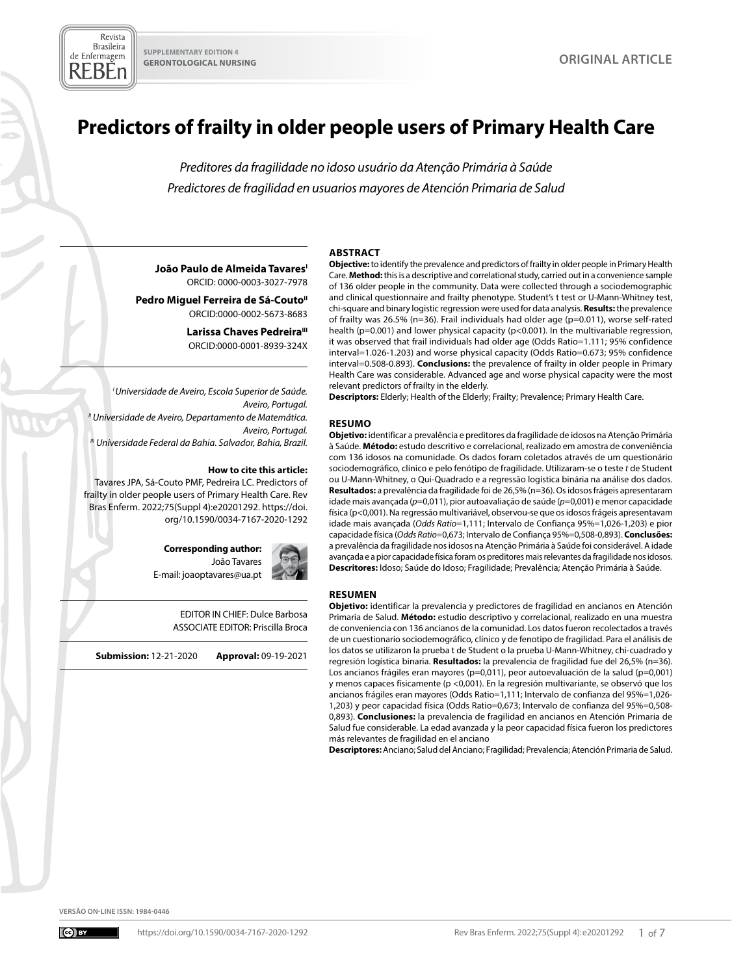# **Predictors of frailty in older people users of Primary Health Care**

*Preditores da fragilidade no idoso usuário da Atenção Primária à Saúde Predictores de fragilidad en usuarios mayores de Atención Primaria de Salud*

#### **ABSTRACT**

**João Paulo de Almeida Tavares'** ORCID: 0000-0003-3027-7978

Pedro Miguel Ferreira de Sá-Couto<sup>"</sup> ORCID:0000-0002-5673-8683

> Larissa Chaves Pedreira<sup>III</sup> ORCID:0000-0001-8939-324X

*I Universidade de Aveiro, Escola Superior de Saúde. Aveiro, Portugal.*

*II Universidade de Aveiro, Departamento de Matemática. Aveiro, Portugal.*

*III Universidade Federal da Bahia. Salvador, Bahia, Brazil.*

#### **How to cite this article:**

Tavares JPA, Sá-Couto PMF, Pedreira LC. Predictors of frailty in older people users of Primary Health Care. Rev Bras Enferm. 2022;75(Suppl 4):e20201292. [https://doi.](https://doi.org/10.1590/0034-7167-2020-1292) [org/10.1590/0034-7167-2020-1292](https://doi.org/10.1590/0034-7167-2020-1292)

> **Corresponding author:**  João Tavares E-mail: joaoptavares@ua.pt



EDITOR IN CHIEF: Dulce Barbosa ASSOCIATE EDITOR: Priscilla Broca

**Submission:** 12-21-2020 **Approval:** 09-19-2021

**Objective:** to identify the prevalence and predictors of frailty in older people in Primary Health Care. **Method:** this is a descriptive and correlational study, carried out in a convenience sample of 136 older people in the community. Data were collected through a sociodemographic and clinical questionnaire and frailty phenotype. Student's t test or U-Mann-Whitney test, chi-square and binary logistic regression were used for data analysis. **Results:** the prevalence of frailty was 26.5% (n=36). Frail individuals had older age (p=0.011), worse self-rated health (p=0.001) and lower physical capacity (p<0.001). In the multivariable regression, it was observed that frail individuals had older age (Odds Ratio=1.111; 95% confidence interval=1.026-1.203) and worse physical capacity (Odds Ratio=0.673; 95% confidence interval=0.508-0.893). **Conclusions:** the prevalence of frailty in older people in Primary Health Care was considerable. Advanced age and worse physical capacity were the most relevant predictors of frailty in the elderly.

**Descriptors:** Elderly; Health of the Elderly; Frailty; Prevalence; Primary Health Care.

#### **RESUMO**

**Objetivo:** identificar a prevalência e preditores da fragilidade de idosos na Atenção Primária à Saúde. **Método:** estudo descritivo e correlacional, realizado em amostra de conveniência com 136 idosos na comunidade. Os dados foram coletados através de um questionário sociodemográfico, clínico e pelo fenótipo de fragilidade. Utilizaram-se o teste *t* de Student ou U-Mann-Whitney, o Qui-Quadrado e a regressão logística binária na análise dos dados. **Resultados:** a prevalência da fragilidade foi de 26,5% (n=36). Os idosos frágeis apresentaram idade mais avançada (*p*=0,011), pior autoavaliação de saúde (*p*=0,001) e menor capacidade física (p<0,001). Na regressão multivariável, observou-se que os idosos frágeis apresentavam idade mais avançada (*Odds Ratio*=1,111; Intervalo de Confiança 95%=1,026-1,203) e pior capacidade física (*Odds Ratio*=0,673; Intervalo de Confiança 95%=0,508-0,893). **Conclusões:** a prevalência da fragilidade nos idosos na Atenção Primária à Saúde foi considerável. A idade avançada e a pior capacidade física foram os preditores mais relevantes da fragilidade nos idosos. **Descritores:** Idoso; Saúde do Idoso; Fragilidade; Prevalência; Atenção Primária à Saúde.

#### **RESUMEN**

**Objetivo:** identificar la prevalencia y predictores de fragilidad en ancianos en Atención Primaria de Salud. **Método:** estudio descriptivo y correlacional, realizado en una muestra de conveniencia con 136 ancianos de la comunidad. Los datos fueron recolectados a través de un cuestionario sociodemográfico, clínico y de fenotipo de fragilidad. Para el análisis de los datos se utilizaron la prueba t de Student o la prueba U-Mann-Whitney, chi-cuadrado y regresión logística binaria. **Resultados:** la prevalencia de fragilidad fue del 26,5% (n=36). Los ancianos frágiles eran mayores (p=0,011), peor autoevaluación de la salud (p=0,001) y menos capaces físicamente (p <0,001). En la regresión multivariante, se observó que los ancianos frágiles eran mayores (Odds Ratio=1,111; Intervalo de confianza del 95%=1,026- 1,203) y peor capacidad física (Odds Ratio=0,673; Intervalo de confianza del 95%=0,508- 0,893). **Conclusiones:** la prevalencia de fragilidad en ancianos en Atención Primaria de Salud fue considerable. La edad avanzada y la peor capacidad física fueron los predictores más relevantes de fragilidad en el anciano

**Descriptores:** Anciano; Salud del Anciano; Fragilidad; Prevalencia; Atención Primaria de Salud.

**VERSÃO ON-LINE ISSN: 1984-0446**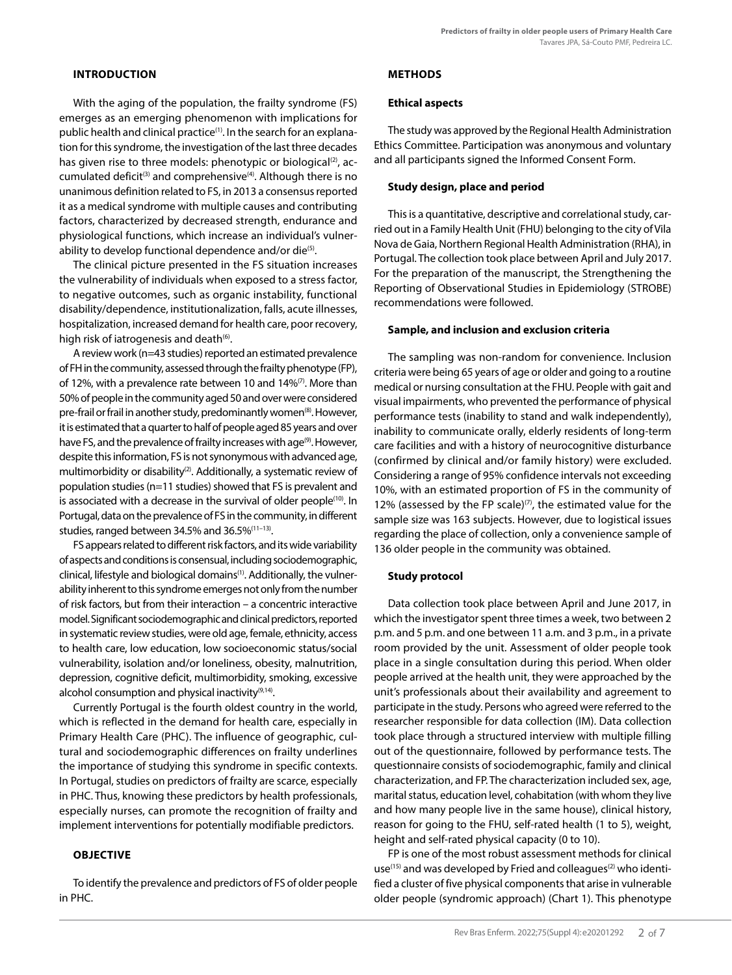# **INTRODUCTION**

With the aging of the population, the frailty syndrome (FS) emerges as an emerging phenomenon with implications for public health and clinical practice<sup>(1)</sup>. In the search for an explanation for this syndrome, the investigation of the last three decades has given rise to three models: phenotypic or biological<sup>(2)</sup>, accumulated deficit<sup>(3)</sup> and comprehensive<sup>(4)</sup>. Although there is no unanimous definition related to FS, in 2013 a consensus reported it as a medical syndrome with multiple causes and contributing factors, characterized by decreased strength, endurance and physiological functions, which increase an individual's vulnerability to develop functional dependence and/or die<sup>(5)</sup>.

The clinical picture presented in the FS situation increases the vulnerability of individuals when exposed to a stress factor, to negative outcomes, such as organic instability, functional disability/dependence, institutionalization, falls, acute illnesses, hospitalization, increased demand for health care, poor recovery, high risk of iatrogenesis and death $(6)$ .

A review work (n=43 studies) reported an estimated prevalence of FH in the community, assessed through the frailty phenotype (FP), of 12%, with a prevalence rate between 10 and 14%(7). More than 50% of people in the community aged 50 and over were considered pre-frail or frail in another study, predominantly women(8). However, it is estimated that a quarter to half of people aged 85 years and over have FS, and the prevalence of frailty increases with age<sup>(9)</sup>. However, despite this information, FS is not synonymous with advanced age, multimorbidity or disability(2). Additionally, a systematic review of population studies (n=11 studies) showed that FS is prevalent and is associated with a decrease in the survival of older people<sup>(10)</sup>. In Portugal, data on the prevalence of FS in the community, in different studies, ranged between 34.5% and 36.5%(11–13).

FS appears related to different risk factors, and its wide variability of aspects and conditions is consensual, including sociodemographic, clinical, lifestyle and biological domains(1). Additionally, the vulnerability inherent to this syndrome emerges not only from the number of risk factors, but from their interaction – a concentric interactive model. Significant sociodemographic and clinical predictors, reported in systematic review studies, were old age, female, ethnicity, access to health care, low education, low socioeconomic status/social vulnerability, isolation and/or loneliness, obesity, malnutrition, depression, cognitive deficit, multimorbidity, smoking, excessive alcohol consumption and physical inactivity<sup>(9,14)</sup>.

Currently Portugal is the fourth oldest country in the world, which is reflected in the demand for health care, especially in Primary Health Care (PHC). The influence of geographic, cultural and sociodemographic differences on frailty underlines the importance of studying this syndrome in specific contexts. In Portugal, studies on predictors of frailty are scarce, especially in PHC. Thus, knowing these predictors by health professionals, especially nurses, can promote the recognition of frailty and implement interventions for potentially modifiable predictors.

# **OBJECTIVE**

To identify the prevalence and predictors of FS of older people in PHC.

# **METHODS**

## **Ethical aspects**

The study was approved by the Regional Health Administration Ethics Committee. Participation was anonymous and voluntary and all participants signed the Informed Consent Form.

# **Study design, place and period**

This is a quantitative, descriptive and correlational study, carried out in a Family Health Unit (FHU) belonging to the city of Vila Nova de Gaia, Northern Regional Health Administration (RHA), in Portugal. The collection took place between April and July 2017. For the preparation of the manuscript, the Strengthening the Reporting of Observational Studies in Epidemiology (STROBE) recommendations were followed.

#### **Sample, and inclusion and exclusion criteria**

The sampling was non-random for convenience. Inclusion criteria were being 65 years of age or older and going to a routine medical or nursing consultation at the FHU. People with gait and visual impairments, who prevented the performance of physical performance tests (inability to stand and walk independently), inability to communicate orally, elderly residents of long-term care facilities and with a history of neurocognitive disturbance (confirmed by clinical and/or family history) were excluded. Considering a range of 95% confidence intervals not exceeding 10%, with an estimated proportion of FS in the community of 12% (assessed by the FP scale)<sup>(7)</sup>, the estimated value for the sample size was 163 subjects. However, due to logistical issues regarding the place of collection, only a convenience sample of 136 older people in the community was obtained.

# **Study protocol**

Data collection took place between April and June 2017, in which the investigator spent three times a week, two between 2 p.m. and 5 p.m. and one between 11 a.m. and 3 p.m., in a private room provided by the unit. Assessment of older people took place in a single consultation during this period. When older people arrived at the health unit, they were approached by the unit's professionals about their availability and agreement to participate in the study. Persons who agreed were referred to the researcher responsible for data collection (IM). Data collection took place through a structured interview with multiple filling out of the questionnaire, followed by performance tests. The questionnaire consists of sociodemographic, family and clinical characterization, and FP. The characterization included sex, age, marital status, education level, cohabitation (with whom they live and how many people live in the same house), clinical history, reason for going to the FHU, self-rated health (1 to 5), weight, height and self-rated physical capacity (0 to 10).

FP is one of the most robust assessment methods for clinical use<sup>(15)</sup> and was developed by Fried and colleagues<sup>(2)</sup> who identified a cluster of five physical components that arise in vulnerable older people (syndromic approach) (Chart 1). This phenotype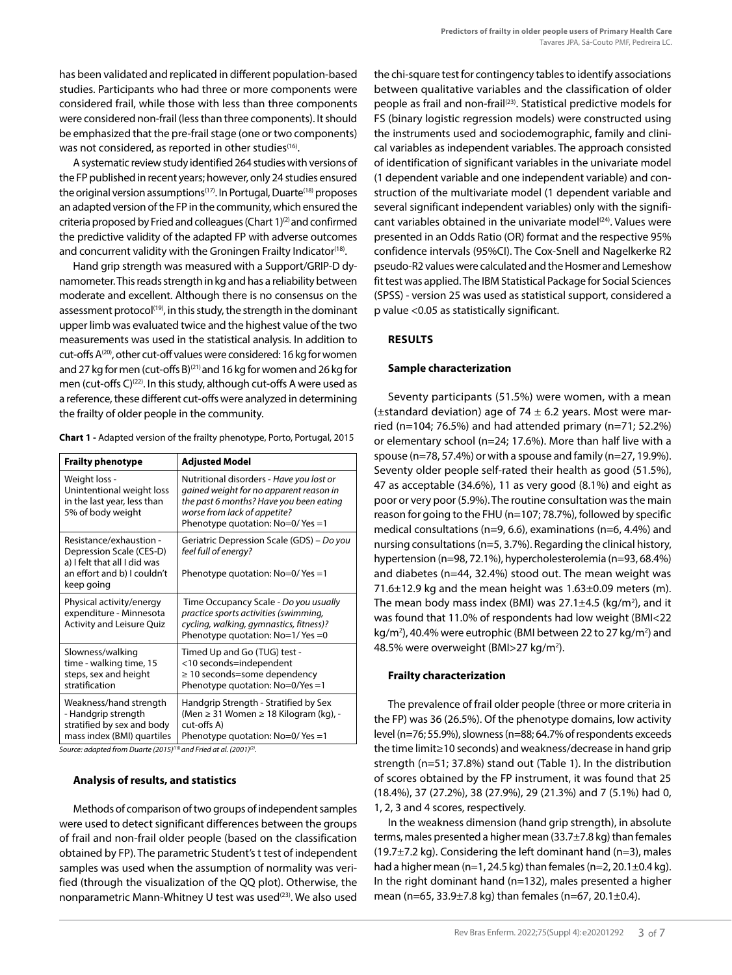has been validated and replicated in different population-based studies. Participants who had three or more components were considered frail, while those with less than three components were considered non-frail (less than three components). It should be emphasized that the pre-frail stage (one or two components) was not considered, as reported in other studies<sup>(16)</sup>.

A systematic review study identified 264 studies with versions of the FP published in recent years; however, only 24 studies ensured the original version assumptions<sup>(17)</sup>. In Portugal, Duarte<sup>(18)</sup> proposes an adapted version of the FP in the community, which ensured the criteria proposed by Fried and colleagues (Chart 1)<sup>(2)</sup> and confirmed the predictive validity of the adapted FP with adverse outcomes and concurrent validity with the Groningen Frailty Indicator<sup>(18)</sup>.

Hand grip strength was measured with a Support/GRIP-D dynamometer. This reads strength in kg and has a reliability between moderate and excellent. Although there is no consensus on the assessment protocol<sup>(19)</sup>, in this study, the strength in the dominant upper limb was evaluated twice and the highest value of the two measurements was used in the statistical analysis. In addition to cut-offs A<sup>(20)</sup>, other cut-off values were considered: 16 kg for women and 27 kg for men (cut-offs B)<sup>(21)</sup> and 16 kg for women and 26 kg for men (cut-offs C)<sup>(22)</sup>. In this study, although cut-offs A were used as a reference, these different cut-offs were analyzed in determining the frailty of older people in the community.

| <b>Frailty phenotype</b>                                                                                                             | <b>Adjusted Model</b>                                                                                                                                                                              |
|--------------------------------------------------------------------------------------------------------------------------------------|----------------------------------------------------------------------------------------------------------------------------------------------------------------------------------------------------|
| Weight loss -<br>Unintentional weight loss<br>in the last year, less than<br>5% of body weight                                       | Nutritional disorders - Have you lost or<br>gained weight for no apparent reason in<br>the past 6 months? Have you been eating<br>worse from lack of appetite?<br>Phenotype quotation: No=0/Yes =1 |
| Resistance/exhaustion -<br>Depression Scale (CES-D)<br>a) I felt that all I did was<br>an effort and b) I couldn't<br>keep going     | Geriatric Depression Scale (GDS) - Do you<br>feel full of energy?<br>Phenotype quotation: No=0/Yes =1                                                                                              |
| Physical activity/energy<br>expenditure - Minnesota<br><b>Activity and Leisure Quiz</b>                                              | Time Occupancy Scale - Do you usually<br>practice sports activities (swimming,<br>cycling, walking, gymnastics, fitness)?<br>Phenotype quotation: No=1/Yes =0                                      |
| Slowness/walking<br>time - walking time, 15<br>steps, sex and height<br>stratification                                               | Timed Up and Go (TUG) test -<br><10 seconds=independent<br>$\geq$ 10 seconds=some dependency<br>Phenotype quotation: No=0/Yes =1                                                                   |
| Weakness/hand strength<br>- Handgrip strength<br>stratified by sex and body<br>mass index (BMI) quartiles<br>$\cdot$ $\cdot$ $\cdot$ | Handgrip Strength - Stratified by Sex<br>(Men $\geq$ 31 Women $\geq$ 18 Kilogram (kg), -<br>cut-offs A)<br>Phenotype quotation: No=0/Yes =1<br>$P_1$ $(20.45)(10)$ $15.1$ $(20.004)(2)$            |

**Chart 1 -** Adapted version of the frailty phenotype, Porto, Portugal, 2015

*Source: adapted from Duarte (2015)(18) and Fried at al. (2001)(2).*

# **Analysis of results, and statistics**

Methods of comparison of two groups of independent samples were used to detect significant differences between the groups of frail and non-frail older people (based on the classification obtained by FP). The parametric Student's t test of independent samples was used when the assumption of normality was verified (through the visualization of the QQ plot). Otherwise, the nonparametric Mann-Whitney U test was used<sup>(23)</sup>. We also used the chi-square test for contingency tables to identify associations between qualitative variables and the classification of older people as frail and non-frail<sup>(23)</sup>. Statistical predictive models for FS (binary logistic regression models) were constructed using the instruments used and sociodemographic, family and clinical variables as independent variables. The approach consisted of identification of significant variables in the univariate model (1 dependent variable and one independent variable) and construction of the multivariate model (1 dependent variable and several significant independent variables) only with the significant variables obtained in the univariate model<sup>(24)</sup>. Values were presented in an Odds Ratio (OR) format and the respective 95% confidence intervals (95%CI). The Cox-Snell and Nagelkerke R2 pseudo-R2 values were calculated and the Hosmer and Lemeshow fit test was applied. The IBM Statistical Package for Social Sciences (SPSS) - version 25 was used as statistical support, considered a p value <0.05 as statistically significant.

# **RESULTS**

#### **Sample characterization**

Seventy participants (51.5%) were women, with a mean ( $\pm$ standard deviation) age of 74  $\pm$  6.2 years. Most were married (n=104; 76.5%) and had attended primary (n=71; 52.2%) or elementary school (n=24; 17.6%). More than half live with a spouse (n=78, 57.4%) or with a spouse and family (n=27, 19.9%). Seventy older people self-rated their health as good (51.5%), 47 as acceptable (34.6%), 11 as very good (8.1%) and eight as poor or very poor (5.9%). The routine consultation was the main reason for going to the FHU (n=107; 78.7%), followed by specific medical consultations (n=9, 6.6), examinations (n=6, 4.4%) and nursing consultations (n=5, 3.7%). Regarding the clinical history, hypertension (n=98, 72.1%), hypercholesterolemia (n=93, 68.4%) and diabetes (n=44, 32.4%) stood out. The mean weight was 71.6 $\pm$ 12.9 kg and the mean height was 1.63 $\pm$ 0.09 meters (m). The mean body mass index (BMI) was  $27.1 \pm 4.5$  (kg/m<sup>2</sup>), and it was found that 11.0% of respondents had low weight (BMI<22 kg/m<sup>2</sup>), 40.4% were eutrophic (BMI between 22 to 27 kg/m<sup>2</sup>) and 48.5% were overweight (BMI>27 kg/m<sup>2</sup>).

# **Frailty characterization**

The prevalence of frail older people (three or more criteria in the FP) was 36 (26.5%). Of the phenotype domains, low activity level (n=76; 55.9%), slowness (n=88; 64.7% of respondents exceeds the time limit≥10 seconds) and weakness/decrease in hand grip strength (n=51; 37.8%) stand out (Table 1). In the distribution of scores obtained by the FP instrument, it was found that 25 (18.4%), 37 (27.2%), 38 (27.9%), 29 (21.3%) and 7 (5.1%) had 0, 1, 2, 3 and 4 scores, respectively.

In the weakness dimension (hand grip strength), in absolute terms, males presented a higher mean (33.7±7.8 kg) than females (19.7±7.2 kg). Considering the left dominant hand (n=3), males had a higher mean (n=1, 24.5 kg) than females (n=2, 20.1 $\pm$ 0.4 kg). In the right dominant hand (n=132), males presented a higher mean (n=65, 33.9±7.8 kg) than females (n=67, 20.1±0.4).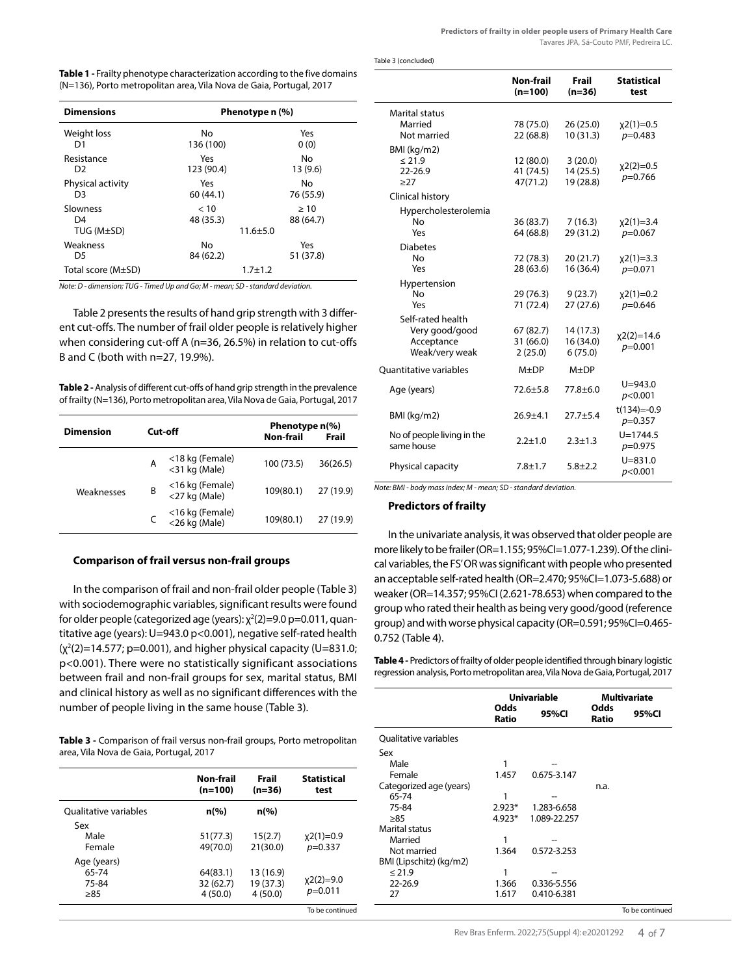**Table 1 -** Frailty phenotype characterization according to the five domains (N=136), Porto metropolitan area, Vila Nova de Gaia, Portugal, 2017

| <b>Dimensions</b>                             | Phenotype n (%)   |                                        |  |
|-----------------------------------------------|-------------------|----------------------------------------|--|
| Weight loss                                   | No                | Yes                                    |  |
| D1                                            | 136 (100)         | 0(0)                                   |  |
| Resistance                                    | Yes               | No                                     |  |
| D <sub>2</sub>                                | 123 (90.4)        | 13 (9.6)                               |  |
| Physical activity                             | Yes               | No                                     |  |
| D3                                            | 60(44.1)          | 76 (55.9)                              |  |
| Slowness<br>D <sub>4</sub><br>$TUG (M\pm SD)$ | < 10<br>48 (35.3) | $\geq 10$<br>88 (64.7)<br>$11.6 + 5.0$ |  |
| Weakness                                      | No                | Yes                                    |  |
| D5                                            | 84 (62.2)         | 51 (37.8)                              |  |
| Total score (M±SD)                            |                   | $1.7 + 1.2$                            |  |

*Note: D - dimension; TUG - Timed Up and Go; M - mean; SD - standard deviation.*

Table 2 presents the results of hand grip strength with 3 different cut-offs. The number of frail older people is relatively higher when considering cut-off A (n=36, 26.5%) in relation to cut-offs B and C (both with n=27, 19.9%).

**Table 2 -** Analysis of different cut-offs of hand grip strength in the prevalence of frailty (N=136), Porto metropolitan area, Vila Nova de Gaia, Portugal, 2017

| <b>Dimension</b> |   | Cut-off                             | Phenotype n(%)<br>Non-frail | Frail     |
|------------------|---|-------------------------------------|-----------------------------|-----------|
|                  | A | <18 kg (Female)<br><31 kg (Male)    | 100 (73.5)                  | 36(26.5)  |
| Weaknesses       | B | <16 kg (Female)<br>$<$ 27 kg (Male) | 109(80.1)                   | 27 (19.9) |
|                  |   | <16 kg (Female)<br><26 kg (Male)    | 109(80.1)                   | 27 (19.9) |

#### **Comparison of frail versus non-frail groups**

In the comparison of frail and non-frail older people (Table 3) with sociodemographic variables, significant results were found for older people (categorized age (years): χ<sup>2</sup>(2)=9.0 p=0.011, quantitative age (years): U=943.0 p<0.001), negative self-rated health  $(x^{2}(2)=14.577; p=0.001)$ , and higher physical capacity (U=831.0; p<0.001). There were no statistically significant associations between frail and non-frail groups for sex, marital status, BMI and clinical history as well as no significant differences with the number of people living in the same house (Table 3).

**Table 3 -** Comparison of frail versus non-frail groups, Porto metropolitan area, Vila Nova de Gaia, Portugal, 2017

|                              | Non-frail<br>$(n=100)$ | Frail<br>$(n=36)$  | <b>Statistical</b><br>test |
|------------------------------|------------------------|--------------------|----------------------------|
| <b>Oualitative variables</b> | $n\left(\%\right)$     | $n\left(\%\right)$ |                            |
| Sex                          |                        |                    |                            |
| Male                         | 51(77.3)               | 15(2.7)            | $x2(1)=0.9$                |
| Female                       | 49(70.0)               | 21(30.0)           | $p=0.337$                  |
| Age (years)                  |                        |                    |                            |
| 65-74                        | 64(83.1)               | 13 (16.9)          |                            |
| 75-84                        | 32 (62.7)              | 19 (37.3)          | $x2(2)=9.0$                |
| >85                          | 4(50.0)                | 4(50.0)            | $p=0.011$                  |
|                              |                        |                    | To be continued            |

|                                          | Non-frail<br>$(n=100)$ | Frail<br>$(n=36)$ | <b>Statistical</b><br>test |
|------------------------------------------|------------------------|-------------------|----------------------------|
| Marital status<br>Married                | 78 (75.0)              | 26(25.0)          | $x2(1)=0.5$                |
| Not married                              | 22 (68.8)              | 10 (31.3)         | $p=0.483$                  |
| BMI (kg/m2)                              |                        |                   |                            |
| $\leq 21.9$                              | 12 (80.0)              | 3(20.0)           | $x2(2)=0.5$                |
| 22-26.9                                  | 41 (74.5)              | 14 (25.5)         | $p=0.766$                  |
| >27                                      | 47(71.2)               | 19 (28.8)         |                            |
| Clinical history                         |                        |                   |                            |
| Hypercholesterolemia                     |                        |                   |                            |
| N <sub>o</sub>                           | 36 (83.7)              | 7(16.3)           | $x2(1)=3.4$                |
| Yes                                      | 64 (68.8)              | 29 (31.2)         | $p=0.067$                  |
| <b>Diabetes</b>                          |                        |                   |                            |
| No                                       | 72 (78.3)              | 20(21.7)          | $x2(1)=3.3$                |
| Yes                                      | 28 (63.6)              | 16 (36.4)         | $p=0.071$                  |
| Hypertension                             |                        |                   |                            |
| No                                       | 29 (76.3)              | 9(23.7)           | $x2(1)=0.2$                |
| Yes                                      | 71 (72.4)              | 27(27.6)          | $p=0.646$                  |
| Self-rated health                        |                        |                   |                            |
| Very good/good                           | 67 (82.7)              | 14 (17.3)         | $x2(2)=14.6$               |
| Acceptance                               | 31 (66.0)              | 16 (34.0)         | $p=0.001$                  |
| Weak/very weak                           | 2(25.0)                | 6(75.0)           |                            |
| <b>Ouantitative variables</b>            | $M \pm DP$             | $M \pm DP$        |                            |
| Age (years)                              | $72.6 + 5.8$           | $77.8 + 6.0$      | $U = 943.0$<br>p<0.001     |
| BMI (kg/m2)                              | $26.9 + 4.1$           | $27.7 + 5.4$      | $t(134)=-0.9$<br>$p=0.357$ |
| No of people living in the<br>same house | $2.2 + 1.0$            | $2.3 + 1.3$       | $U = 1744.5$<br>$p=0.975$  |
| Physical capacity                        | $7.8 + 1.7$            | $5.8 + 2.2$       | $U = 831.0$<br>p<0.001     |

*Note: BMI - body mass index; M - mean; SD - standard deviation.*

#### **Predictors of frailty**

Table 3 (concluded)

In the univariate analysis, it was observed that older people are more likely to be frailer (OR=1.155; 95%CI=1.077-1.239). Of the clinical variables, the FS' OR was significant with people who presented an acceptable self-rated health (OR=2.470; 95%CI=1.073-5.688) or weaker (OR=14.357; 95%CI (2.621-78.653) when compared to the group who rated their health as being very good/good (reference group) and with worse physical capacity (OR=0.591; 95%CI=0.465- 0.752 (Table 4).

**Table 4 -** Predictors of frailty of older people identified through binary logistic regression analysis, Porto metropolitan area, Vila Nova de Gaia, Portugal, 2017

|                              |               | <b>Univariable</b> |               | <b>Multivariate</b> |
|------------------------------|---------------|--------------------|---------------|---------------------|
|                              | Odds<br>Ratio | 95%CI              | Odds<br>Ratio | 95%CI               |
| <b>Oualitative variables</b> |               |                    |               |                     |
| Sex                          |               |                    |               |                     |
| Male                         | 1             |                    |               |                     |
| Female                       | 1.457         | 0.675-3.147        |               |                     |
| Categorized age (years)      |               |                    | n.a.          |                     |
| 65-74                        | 1             |                    |               |                     |
| 75-84                        | $2.923*$      | 1.283-6.658        |               |                     |
| >85                          | $4.923*$      | 1.089-22.257       |               |                     |
| <b>Marital status</b>        |               |                    |               |                     |
| Married                      | 1             |                    |               |                     |
| Not married                  | 1.364         | 0.572-3.253        |               |                     |
| BMI (Lipschitz) (kg/m2)      |               |                    |               |                     |
| ≤ 21.9                       | 1             |                    |               |                     |
| 22-26.9                      | 1.366         | 0.336-5.556        |               |                     |
| 27                           | 1.617         | 0.410-6.381        |               |                     |
|                              |               |                    |               | To be continued     |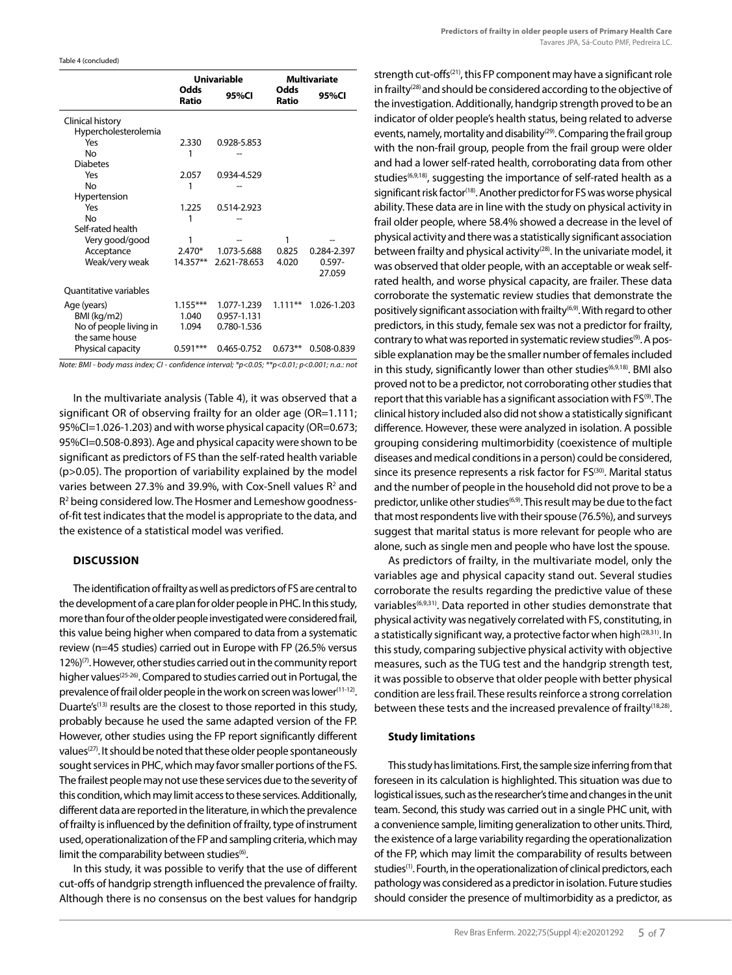Table 4 (concluded)

|                                          | <b>Univariable</b> |              | <b>Multivariate</b> |                     |
|------------------------------------------|--------------------|--------------|---------------------|---------------------|
|                                          | Odds<br>Ratio      | 95%CI        | Odds<br>Ratio       | 95%CI               |
| Clinical history                         |                    |              |                     |                     |
| Hypercholesterolemia                     |                    |              |                     |                     |
| Yes                                      | 2.330              | 0.928-5.853  |                     |                     |
| Nο                                       | 1                  |              |                     |                     |
| <b>Diabetes</b>                          |                    |              |                     |                     |
| Yes                                      | 2.057              | 0.934-4.529  |                     |                     |
| Nο                                       | 1                  |              |                     |                     |
| Hypertension                             |                    |              |                     |                     |
| Yes                                      | 1.225              | 0.514-2.923  |                     |                     |
| Nο                                       | 1                  |              |                     |                     |
| Self-rated health                        |                    |              |                     |                     |
| Very good/good                           | 1                  |              | 1                   |                     |
| Acceptance                               | $2.470*$           | 1.073-5.688  | 0.825               | 0.284-2.397         |
| Weak/very weak                           | 14.357**           | 2.621-78.653 | 4.020               | $0.597 -$<br>27.059 |
| <b>Ouantitative variables</b>            |                    |              |                     |                     |
| Age (years)                              | $1.155***$         | 1.077-1.239  | $1.111***$          | 1.026-1.203         |
| BMI (kg/m2)                              | 1.040              | 0.957-1.131  |                     |                     |
| No of people living in<br>the same house | 1.094              | 0.780-1.536  |                     |                     |
| Physical capacity                        | $0.591***$         | 0.465-0.752  | $0.673**$           | 0.508-0.839         |

*Note: BMI - body mass index; CI - confidence interval; \*p<0.05; \*\*p<0.01; p<0.001; n.a.: not* 

In the multivariate analysis (Table 4), it was observed that a significant OR of observing frailty for an older age (OR=1.111; 95%CI=1.026-1.203) and with worse physical capacity (OR=0.673; 95%CI=0.508-0.893). Age and physical capacity were shown to be significant as predictors of FS than the self-rated health variable (p>0.05). The proportion of variability explained by the model varies between 27.3% and 39.9%, with Cox-Snell values  $R^2$  and R<sup>2</sup> being considered low. The Hosmer and Lemeshow goodnessof-fit test indicates that the model is appropriate to the data, and the existence of a statistical model was verified.

# **DISCUSSION**

The identification of frailty as well as predictors of FS are central to the development of a care plan for older people in PHC. In this study, more than four of the older people investigated were considered frail, this value being higher when compared to data from a systematic review (n=45 studies) carried out in Europe with FP (26.5% versus 12%)<sup>(7)</sup>. However, other studies carried out in the community report higher values<sup>(25-26)</sup>. Compared to studies carried out in Portugal, the prevalence of frail older people in the work on screen was lower<sup>(11-12)</sup>. Duarte's<sup>(13)</sup> results are the closest to those reported in this study, probably because he used the same adapted version of the FP. However, other studies using the FP report significantly different values<sup>(27)</sup>. It should be noted that these older people spontaneously sought services in PHC, which may favor smaller portions of the FS. The frailest people may not use these services due to the severity of this condition, which may limit access to these services. Additionally, different data are reported in the literature, in which the prevalence of frailty is influenced by the definition of frailty, type of instrument used, operationalization of the FP and sampling criteria, which may limit the comparability between studies<sup>(6)</sup>.

In this study, it was possible to verify that the use of different cut-offs of handgrip strength influenced the prevalence of frailty. Although there is no consensus on the best values for handgrip strength cut-offs<sup>(21)</sup>, this FP component may have a significant role in frailty<sup>(28)</sup> and should be considered according to the objective of the investigation. Additionally, handgrip strength proved to be an indicator of older people's health status, being related to adverse events, namely, mortality and disability<sup>(29)</sup>. Comparing the frail group with the non-frail group, people from the frail group were older and had a lower self-rated health, corroborating data from other studies<sup>(6,9,18)</sup>, suggesting the importance of self-rated health as a significant risk factor<sup>(18)</sup>. Another predictor for FS was worse physical ability. These data are in line with the study on physical activity in frail older people, where 58.4% showed a decrease in the level of physical activity and there was a statistically significant association between frailty and physical activity<sup>(28)</sup>. In the univariate model, it was observed that older people, with an acceptable or weak selfrated health, and worse physical capacity, are frailer. These data corroborate the systematic review studies that demonstrate the positively significant association with frailty<sup>(6,9)</sup>. With regard to other predictors, in this study, female sex was not a predictor for frailty, contrary to what was reported in systematic review studies<sup>(9)</sup>. A possible explanation may be the smaller number of females included in this study, significantly lower than other studies $(6,9,18)$ . BMI also proved not to be a predictor, not corroborating other studies that report that this variable has a significant association with FS<sup>(9)</sup>. The clinical history included also did not show a statistically significant difference. However, these were analyzed in isolation. A possible grouping considering multimorbidity (coexistence of multiple diseases and medical conditions in a person) could be considered, since its presence represents a risk factor for FS<sup>(30)</sup>. Marital status and the number of people in the household did not prove to be a predictor, unlike other studies<sup>(6,9)</sup>. This result may be due to the fact that most respondents live with their spouse (76.5%), and surveys suggest that marital status is more relevant for people who are alone, such as single men and people who have lost the spouse.

As predictors of frailty, in the multivariate model, only the variables age and physical capacity stand out. Several studies corroborate the results regarding the predictive value of these variables<sup>(6,9,31)</sup>. Data reported in other studies demonstrate that physical activity was negatively correlated with FS, constituting, in a statistically significant way, a protective factor when high<sup>(28,31)</sup>. In this study, comparing subjective physical activity with objective measures, such as the TUG test and the handgrip strength test, it was possible to observe that older people with better physical condition are less frail. These results reinforce a strong correlation between these tests and the increased prevalence of frailty(18,28).

#### **Study limitations**

This study has limitations. First, the sample size inferring from that foreseen in its calculation is highlighted. This situation was due to logistical issues, such as the researcher's time and changes in the unit team. Second, this study was carried out in a single PHC unit, with a convenience sample, limiting generalization to other units. Third, the existence of a large variability regarding the operationalization of the FP, which may limit the comparability of results between studies<sup>(1)</sup>. Fourth, in the operationalization of clinical predictors, each pathology was considered as a predictor in isolation. Future studies should consider the presence of multimorbidity as a predictor, as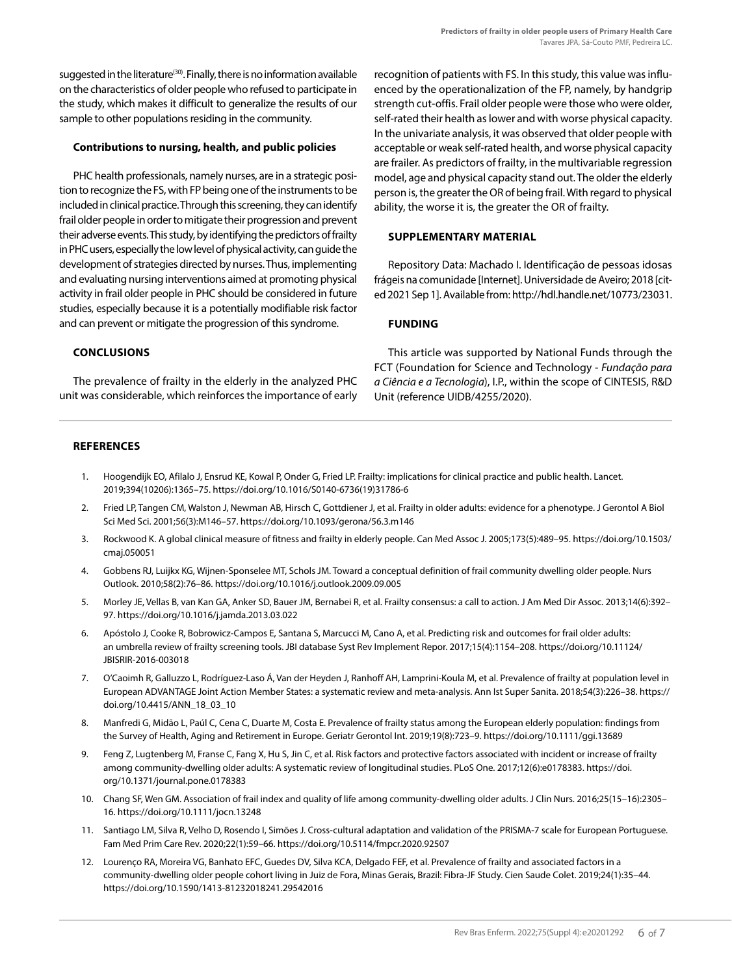suggested in the literature<sup>(30)</sup>. Finally, there is no information available on the characteristics of older people who refused to participate in the study, which makes it difficult to generalize the results of our sample to other populations residing in the community.

# **Contributions to nursing, health, and public policies**

PHC health professionals, namely nurses, are in a strategic position to recognize the FS, with FP being one of the instruments to be included in clinical practice. Through this screening, they can identify frail older people in order to mitigate their progression and prevent their adverse events. This study, by identifying the predictors of frailty in PHC users, especially the low level of physical activity, can guide the development of strategies directed by nurses. Thus, implementing and evaluating nursing interventions aimed at promoting physical activity in frail older people in PHC should be considered in future studies, especially because it is a potentially modifiable risk factor and can prevent or mitigate the progression of this syndrome.

# **CONCLUSIONS**

The prevalence of frailty in the elderly in the analyzed PHC unit was considerable, which reinforces the importance of early recognition of patients with FS. In this study, this value was influenced by the operationalization of the FP, namely, by handgrip strength cut-offis. Frail older people were those who were older, self-rated their health as lower and with worse physical capacity. In the univariate analysis, it was observed that older people with acceptable or weak self-rated health, and worse physical capacity are frailer. As predictors of frailty, in the multivariable regression model, age and physical capacity stand out. The older the elderly person is, the greater the OR of being frail. With regard to physical ability, the worse it is, the greater the OR of frailty.

#### **SUPPLEMENTARY MATERIAL**

Repository Data: Machado I. Identificação de pessoas idosas frágeis na comunidade [Internet]. Universidade de Aveiro; 2018 [cited 2021 Sep 1]. Available from: http://hdl.handle.net/10773/23031.

#### **FUNDING**

This article was supported by National Funds through the FCT (Foundation for Science and Technology - *Fundação para a Ciência e a Tecnologia*), I.P., within the scope of CINTESIS, R&D Unit (reference UIDB/4255/2020).

## **REFERENCES**

- 1. Hoogendijk EO, Afilalo J, Ensrud KE, Kowal P, Onder G, Fried LP. Frailty: implications for clinical practice and public health. Lancet. 2019;394(10206):1365–75. https://doi.org/10.1016/S0140-6736(19)31786-6
- 2. Fried LP, Tangen CM, Walston J, Newman AB, Hirsch C, Gottdiener J, et al. Frailty in older adults: evidence for a phenotype. J Gerontol A Biol Sci Med Sci. 2001;56(3):M146–57. https://doi.org/10.1093/gerona/56.3.m146
- 3. Rockwood K. A global clinical measure of fitness and frailty in elderly people. Can Med Assoc J. 2005;173(5):489–95. https://doi.org/10.1503/ cmaj.050051
- 4. Gobbens RJ, Luijkx KG, Wijnen-Sponselee MT, Schols JM. Toward a conceptual definition of frail community dwelling older people. Nurs Outlook. 2010;58(2):76–86. https://doi.org/10.1016/j.outlook.2009.09.005
- 5. Morley JE, Vellas B, van Kan GA, Anker SD, Bauer JM, Bernabei R, et al. Frailty consensus: a call to action. J Am Med Dir Assoc. 2013;14(6):392– 97. https://doi.org/10.1016/j.jamda.2013.03.022
- 6. Apóstolo J, Cooke R, Bobrowicz-Campos E, Santana S, Marcucci M, Cano A, et al. Predicting risk and outcomes for frail older adults: an umbrella review of frailty screening tools. JBI database Syst Rev Implement Repor. 2017;15(4):1154–208. https://doi.org/10.11124/ JBISRIR-2016-003018
- 7. O'Caoimh R, Galluzzo L, Rodríguez-Laso Á, Van der Heyden J, Ranhoff AH, Lamprini-Koula M, et al. Prevalence of frailty at population level in European ADVANTAGE Joint Action Member States: a systematic review and meta-analysis. Ann Ist Super Sanita. 2018;54(3):226–38. https:// doi.org/10.4415/ANN\_18\_03\_10
- 8. Manfredi G, Midão L, Paúl C, Cena C, Duarte M, Costa E. Prevalence of frailty status among the European elderly population: findings from the Survey of Health, Aging and Retirement in Europe. Geriatr Gerontol Int. 2019;19(8):723–9. https://doi.org/10.1111/ggi.13689
- 9. Feng Z, Lugtenberg M, Franse C, Fang X, Hu S, Jin C, et al. Risk factors and protective factors associated with incident or increase of frailty among community-dwelling older adults: A systematic review of longitudinal studies. PLoS One. 2017;12(6):e0178383. https://doi. org/10.1371/journal.pone.0178383
- 10. Chang SF, Wen GM. Association of frail index and quality of life among community-dwelling older adults. J Clin Nurs. 2016;25(15–16):2305– 16. https://doi.org/10.1111/jocn.13248
- 11. Santiago LM, Silva R, Velho D, Rosendo I, Simões J. Cross-cultural adaptation and validation of the PRISMA-7 scale for European Portuguese. Fam Med Prim Care Rev. 2020;22(1):59–66. https://doi.org/10.5114/fmpcr.2020.92507
- 12. Lourenço RA, Moreira VG, Banhato EFC, Guedes DV, Silva KCA, Delgado FEF, et al. Prevalence of frailty and associated factors in a community-dwelling older people cohort living in Juiz de Fora, Minas Gerais, Brazil: Fibra-JF Study. Cien Saude Colet. 2019;24(1):35–44. https://doi.org/10.1590/1413-81232018241.29542016